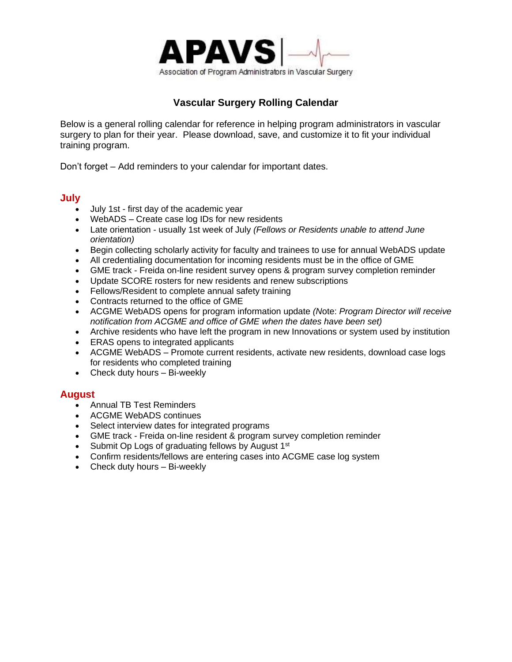

# **Vascular Surgery Rolling Calendar**

Below is a general rolling calendar for reference in helping program administrators in vascular surgery to plan for their year. Please download, save, and customize it to fit your individual training program.

Don't forget – Add reminders to your calendar for important dates.

#### **July**

- July 1st first day of the academic year
- WebADS Create case log IDs for new residents
- Late orientation usually 1st week of July *(Fellows or Residents unable to attend June orientation)*
- Begin collecting scholarly activity for faculty and trainees to use for annual WebADS update
- All credentialing documentation for incoming residents must be in the office of GME
- GME track Freida [on-line resident survey opens & program survey completion reminder](http://www.aamc.org/programs/gmetrack/start.htm)
- Update SCORE rosters for new residents and renew subscriptions
- Fellows/Resident to complete annual safety training
- Contracts returned to the office of GME
- [ACGME](http://www.acgme.org/) WebADS opens for program information update *(N*ote: *Program Director will receive notification from ACGME and office of GME when the dates have been set)*
- Archive residents who have left the program in new Innovations or system used by institution
- ERAS opens to integrated applicants
- ACGME WebADS Promote current residents, activate new residents, download case logs for residents who completed training
- Check duty hours Bi-weekly

## **August**

- Annual TB Test Reminders
- [ACGME](http://www.acgme.org/) WebADS continues
- Select interview dates for integrated programs
- [GME track -](http://www.aamc.org/programs/gmetrack/start.htm) Freida on-line resident & program survey completion reminder
- Submit Op Logs of graduating fellows by August 1<sup>st</sup>
- Confirm residents/fellows are entering cases into ACGME case log system
- Check duty hours Bi-weekly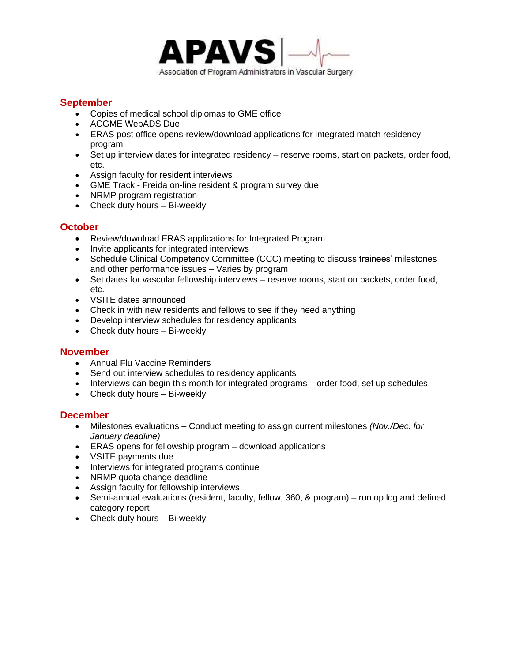

## **September**

- Copies of medical school diplomas to GME office
- [ACGME](http://www.acgme.org/) WebADS Due
- ERAS post office opens-review/download applications for integrated match residency program
- Set up interview dates for integrated residency reserve rooms, start on packets, order food, etc.
- Assign faculty for resident interviews
- [GME Track -](http://www.aamc.org/programs/gmetrack/start.htm) Freida on-line resident & program survey due
- [NRMP](http://nrmp.org/) program registration
- Check duty hours Bi-weekly

## **October**

- Review/download ERAS applications for Integrated Program
- Invite applicants for integrated interviews
- Schedule Clinical Competency Committee (CCC) meeting to discuss trainees' milestones and other performance issues – Varies by program
- Set dates for vascular fellowship interviews reserve rooms, start on packets, order food, etc.
- VSITE dates announced
- Check in with new residents and fellows to see if they need anything
- Develop interview schedules for residency applicants
- Check duty hours Bi-weekly

## **November**

- Annual Flu Vaccine Reminders
- Send out interview schedules to residency applicants
- Interviews can begin this month for integrated programs order food, set up schedules
- Check duty hours Bi-weekly

#### **December**

- Milestones evaluations Conduct meeting to assign current milestones *(Nov./Dec. for January deadline)*
- ERAS opens for fellowship program download applications
- VSITE payments due
- Interviews for integrated programs continue
- [NRMP](http://nrmp.org/) quota change deadline
- Assign faculty for fellowship interviews
- Semi-annual evaluations (resident, faculty, fellow, 360, & program) run op log and defined category report
- Check duty hours Bi-weekly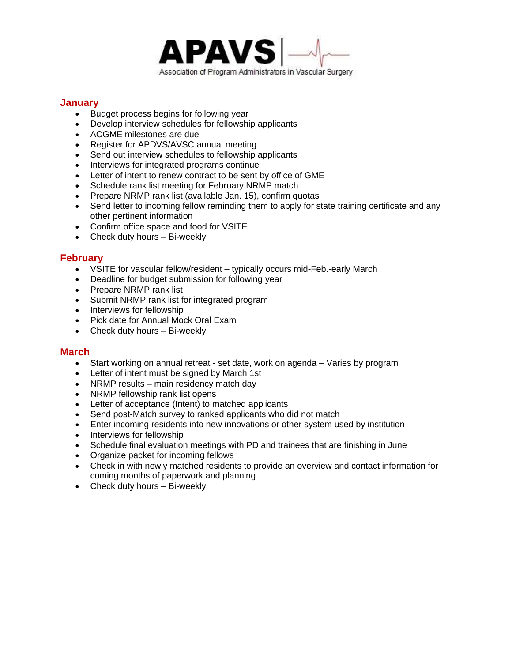

## **January**

- Budget process begins for following year
- Develop interview schedules for fellowship applicants
- ACGME milestones are due
- Register for APDVS/AVSC annual meeting
- Send out interview schedules to fellowship applicants
- Interviews for integrated programs continue
- Letter of intent to renew contract to be sent by office of GME
- Schedule rank list meeting for February NRMP match
- [Prepare NRMP](http://nrmp.org/) rank list (available Jan. 15), confirm quotas
- Send letter to incoming fellow reminding them to apply for state training certificate and any other pertinent information
- Confirm office space and food for VSITE
- Check duty hours Bi-weekly

## **February**

- VSITE for vascular fellow/resident typically occurs mid-Feb.-early March
- Deadline for budget submission for following year
- [Prepare NRMP](http://nrmp.org/) rank list
- [Submit NRMP](http://nrmp.org/) rank list for integrated program
- Interviews for fellowship
- Pick date for Annual Mock Oral Exam
- Check duty hours Bi-weekly

## **March**

- Start working on annual retreat set date, work on agenda Varies by program
- Letter of intent must be signed by March 1st
- [NRMP](http://nrmp.org/) results main residency match day
- NRMP fellowship rank list opens
- Letter of acceptance (Intent) to matched applicants
- Send post-Match survey to ranked applicants who did not match
- Enter incoming residents into new innovations or other system used by institution
- Interviews for fellowship
- Schedule final evaluation meetings with PD and trainees that are finishing in June
- Organize packet for incoming fellows
- Check in with newly matched residents to provide an overview and contact information for coming months of paperwork and planning
- Check duty hours Bi-weekly